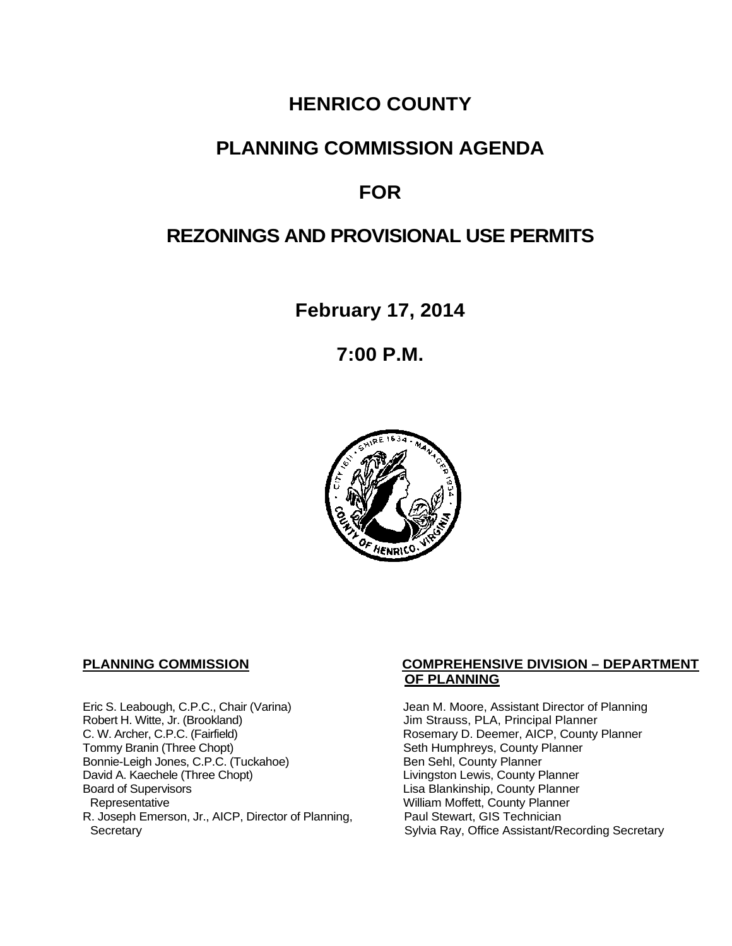# **HENRICO COUNTY**

# **PLANNING COMMISSION AGENDA**

# **FOR**

# **REZONINGS AND PROVISIONAL USE PERMITS**

**February 17, 2014**

**7:00 P.M.**



Eric S. Leabough, C.P.C., Chair (Varina) Jean M. Moore, Assistant Director of Planning<br>Robert H. Witte, Jr. (Brookland) Jim Strauss, PLA, Principal Planner Robert H. Witte, Jr. (Brookland)<br>C. W. Archer, C.P.C. (Fairfield) G. W. Archer, C.P.C. (Fairfield) C. W. Archer, C.P.C. (Fairfield) C. W. Archer, C.P.C. (Fairfield) Rosemary D. Deemer, AICP, County Planner<br>Tommy Branin (Three Chopt) Seth Humphreys, County Planner Bonnie-Leigh Jones, C.P.C. (Tuckahoe)<br>David A. Kaechele (Three Chopt) David A. Kaechele (Three Chopt) Livingston Lewis, County Planner<br>Board of Supervisors County Planner<br>Lisa Blankinship, County Planner Board of Supervisors Lisa Blankinship, County Planner R. Joseph Emerson, Jr., AICP, Director of Planning, Secretary

## **PLANNING COMMISSION COMPREHENSIVE DIVISION – DEPARTMENT OF PLANNING**

Seth Humphreys, County Planner<br>Ben Sehl, County Planner William Moffett, County Planner<br>Paul Stewart, GIS Technician Sylvia Ray, Office Assistant/Recording Secretary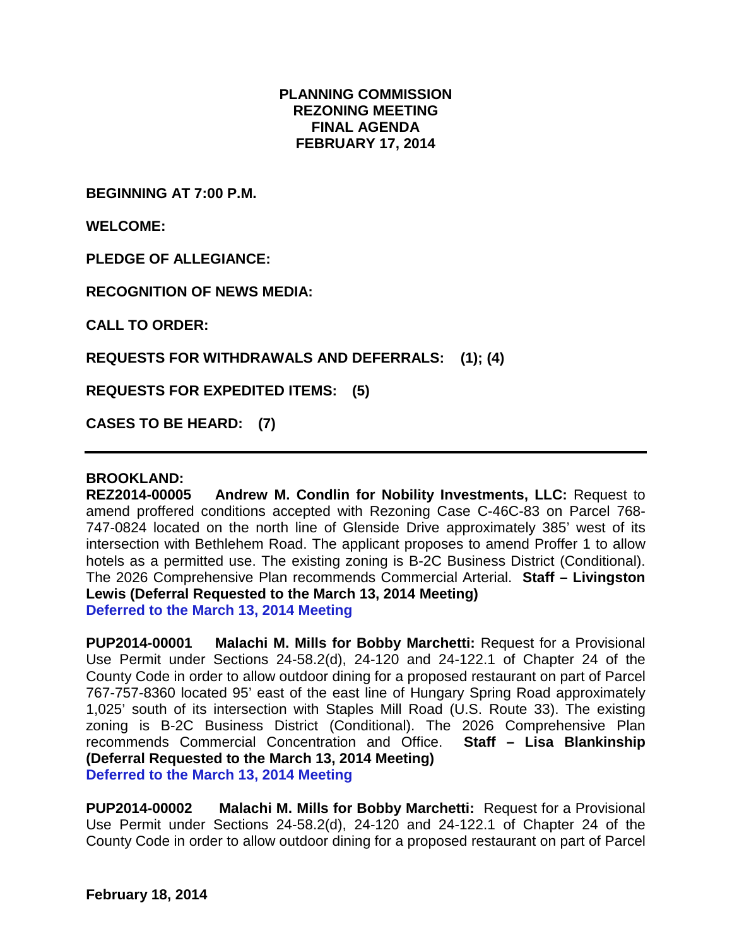## **PLANNING COMMISSION REZONING MEETING FINAL AGENDA FEBRUARY 17, 2014**

**BEGINNING AT 7:00 P.M.**

**WELCOME:**

**PLEDGE OF ALLEGIANCE:**

**RECOGNITION OF NEWS MEDIA:**

**CALL TO ORDER:**

**REQUESTS FOR WITHDRAWALS AND DEFERRALS: (1); (4)**

**REQUESTS FOR EXPEDITED ITEMS: (5)**

**CASES TO BE HEARD: (7)**

#### **BROOKLAND:**

**REZ2014-00005 Andrew M. Condlin for Nobility Investments, LLC:** Request to amend proffered conditions accepted with Rezoning Case C-46C-83 on Parcel 768- 747-0824 located on the north line of Glenside Drive approximately 385' west of its intersection with Bethlehem Road. The applicant proposes to amend Proffer 1 to allow hotels as a permitted use. The existing zoning is B-2C Business District (Conditional). The 2026 Comprehensive Plan recommends Commercial Arterial. **Staff – Livingston Lewis (Deferral Requested to the March 13, 2014 Meeting) Deferred to the March 13, 2014 Meeting**

**PUP2014-00001 Malachi M. Mills for Bobby Marchetti:** Request for a Provisional Use Permit under Sections 24-58.2(d), 24-120 and 24-122.1 of Chapter 24 of the County Code in order to allow outdoor dining for a proposed restaurant on part of Parcel 767-757-8360 located 95' east of the east line of Hungary Spring Road approximately 1,025' south of its intersection with Staples Mill Road (U.S. Route 33). The existing zoning is B-2C Business District (Conditional). The 2026 Comprehensive Plan recommends Commercial Concentration and Office. **Staff – Lisa Blankinship (Deferral Requested to the March 13, 2014 Meeting) Deferred to the March 13, 2014 Meeting**

**PUP2014-00002 Malachi M. Mills for Bobby Marchetti:** Request for a Provisional Use Permit under Sections 24-58.2(d), 24-120 and 24-122.1 of Chapter 24 of the County Code in order to allow outdoor dining for a proposed restaurant on part of Parcel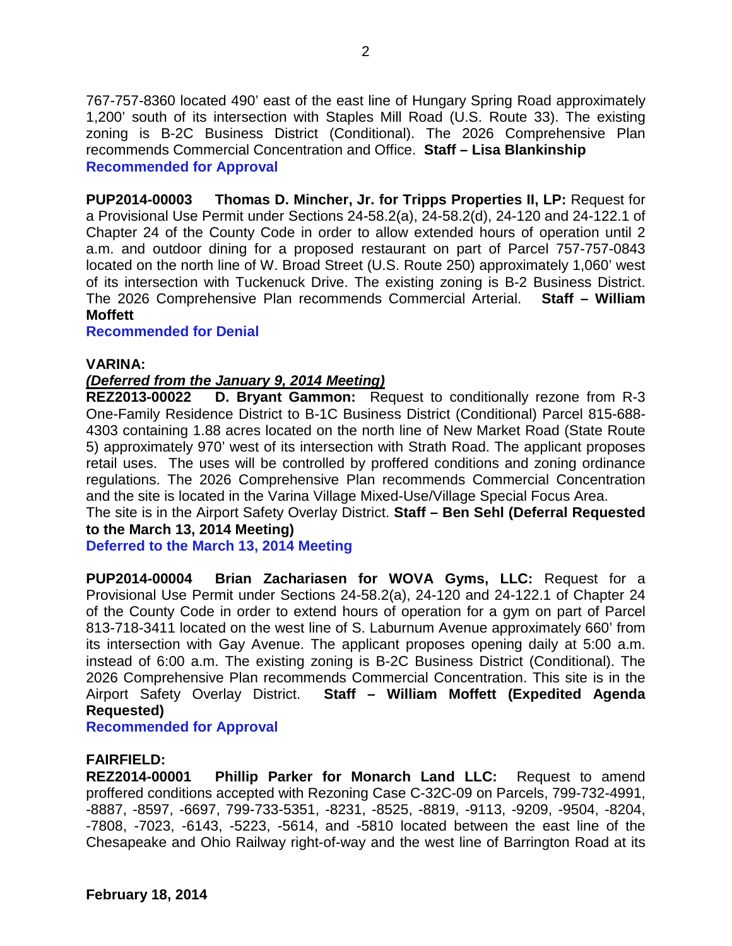767-757-8360 located 490' east of the east line of Hungary Spring Road approximately 1,200' south of its intersection with Staples Mill Road (U.S. Route 33). The existing zoning is B-2C Business District (Conditional). The 2026 Comprehensive Plan recommends Commercial Concentration and Office. **Staff – Lisa Blankinship Recommended for Approval**

**PUP2014-00003 Thomas D. Mincher, Jr. for Tripps Properties II, LP:** Request for a Provisional Use Permit under Sections 24-58.2(a), 24-58.2(d), 24-120 and 24-122.1 of Chapter 24 of the County Code in order to allow extended hours of operation until 2 a.m. and outdoor dining for a proposed restaurant on part of Parcel 757-757-0843 located on the north line of W. Broad Street (U.S. Route 250) approximately 1,060' west of its intersection with Tuckenuck Drive. The existing zoning is B-2 Business District. The 2026 Comprehensive Plan recommends Commercial Arterial. **Staff – William Moffett**

### **Recommended for Denial**

## **VARINA:**

# *(Deferred from the January 9, 2014 Meeting)*

**REZ2013-00022 D. Bryant Gammon:** Request to conditionally rezone from R-3 One-Family Residence District to B-1C Business District (Conditional) Parcel 815-688- 4303 containing 1.88 acres located on the north line of New Market Road (State Route 5) approximately 970' west of its intersection with Strath Road. The applicant proposes retail uses. The uses will be controlled by proffered conditions and zoning ordinance regulations. The 2026 Comprehensive Plan recommends Commercial Concentration and the site is located in the Varina Village Mixed-Use/Village Special Focus Area.

The site is in the Airport Safety Overlay District. **Staff – Ben Sehl (Deferral Requested to the March 13, 2014 Meeting)**

**Deferred to the March 13, 2014 Meeting**

**PUP2014-00004 Brian Zachariasen for WOVA Gyms, LLC:** Request for a Provisional Use Permit under Sections 24-58.2(a), 24-120 and 24-122.1 of Chapter 24 of the County Code in order to extend hours of operation for a gym on part of Parcel 813-718-3411 located on the west line of S. Laburnum Avenue approximately 660' from its intersection with Gay Avenue. The applicant proposes opening daily at 5:00 a.m. instead of 6:00 a.m. The existing zoning is B-2C Business District (Conditional). The 2026 Comprehensive Plan recommends Commercial Concentration. This site is in the Airport Safety Overlay District. **Staff – William Moffett (Expedited Agenda Requested)**

**Recommended for Approval**

### **FAIRFIELD:**

**REZ2014-00001 Phillip Parker for Monarch Land LLC:** Request to amend proffered conditions accepted with Rezoning Case C-32C-09 on Parcels, 799-732-4991, -8887, -8597, -6697, 799-733-5351, -8231, -8525, -8819, -9113, -9209, -9504, -8204, -7808, -7023, -6143, -5223, -5614, and -5810 located between the east line of the Chesapeake and Ohio Railway right-of-way and the west line of Barrington Road at its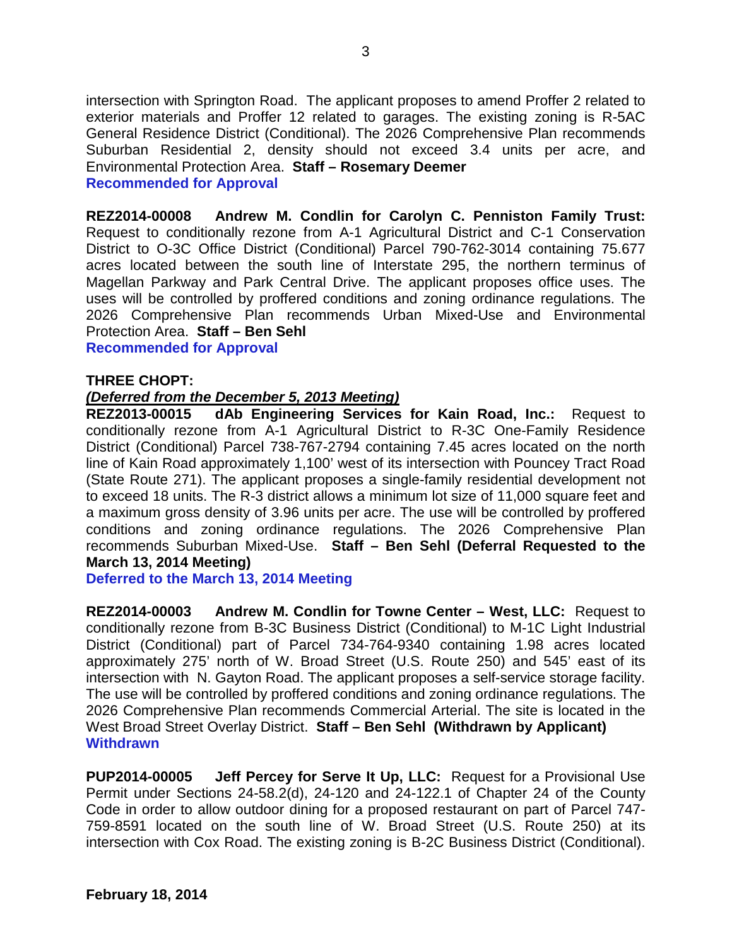intersection with Springton Road. The applicant proposes to amend Proffer 2 related to exterior materials and Proffer 12 related to garages. The existing zoning is R-5AC General Residence District (Conditional). The 2026 Comprehensive Plan recommends Suburban Residential 2, density should not exceed 3.4 units per acre, and Environmental Protection Area. **Staff – Rosemary Deemer Recommended for Approval**

**REZ2014-00008 Andrew M. Condlin for Carolyn C. Penniston Family Trust:** Request to conditionally rezone from A-1 Agricultural District and C-1 Conservation District to O-3C Office District (Conditional) Parcel 790-762-3014 containing 75.677 acres located between the south line of Interstate 295, the northern terminus of Magellan Parkway and Park Central Drive. The applicant proposes office uses. The uses will be controlled by proffered conditions and zoning ordinance regulations. The 2026 Comprehensive Plan recommends Urban Mixed-Use and Environmental Protection Area. **Staff – Ben Sehl**

**Recommended for Approval**

### **THREE CHOPT:**

## *(Deferred from the December 5, 2013 Meeting)*

**REZ2013-00015 dAb Engineering Services for Kain Road, Inc.:** Request to conditionally rezone from A-1 Agricultural District to R-3C One-Family Residence District (Conditional) Parcel 738-767-2794 containing 7.45 acres located on the north line of Kain Road approximately 1,100' west of its intersection with Pouncey Tract Road (State Route 271). The applicant proposes a single-family residential development not to exceed 18 units. The R-3 district allows a minimum lot size of 11,000 square feet and a maximum gross density of 3.96 units per acre. The use will be controlled by proffered conditions and zoning ordinance regulations. The 2026 Comprehensive Plan recommends Suburban Mixed-Use. **Staff – Ben Sehl (Deferral Requested to the March 13, 2014 Meeting)**

**Deferred to the March 13, 2014 Meeting**

**REZ2014-00003 Andrew M. Condlin for Towne Center – West, LLC:** Request to conditionally rezone from B-3C Business District (Conditional) to M-1C Light Industrial District (Conditional) part of Parcel 734-764-9340 containing 1.98 acres located approximately 275' north of W. Broad Street (U.S. Route 250) and 545' east of its intersection with N. Gayton Road. The applicant proposes a self-service storage facility. The use will be controlled by proffered conditions and zoning ordinance regulations. The 2026 Comprehensive Plan recommends Commercial Arterial. The site is located in the West Broad Street Overlay District. **Staff – Ben Sehl (Withdrawn by Applicant) Withdrawn**

**PUP2014-00005 Jeff Percey for Serve It Up, LLC:** Request for a Provisional Use Permit under Sections 24-58.2(d), 24-120 and 24-122.1 of Chapter 24 of the County Code in order to allow outdoor dining for a proposed restaurant on part of Parcel 747- 759-8591 located on the south line of W. Broad Street (U.S. Route 250) at its intersection with Cox Road. The existing zoning is B-2C Business District (Conditional).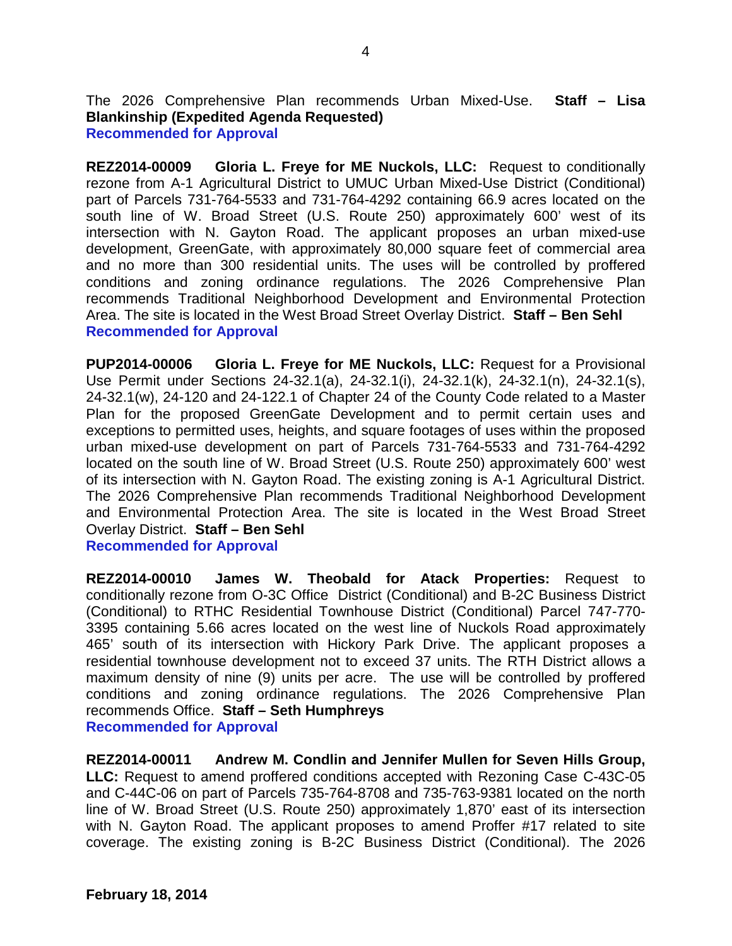The 2026 Comprehensive Plan recommends Urban Mixed-Use. **Staff – Lisa Blankinship (Expedited Agenda Requested) Recommended for Approval**

**REZ2014-00009 Gloria L. Freye for ME Nuckols, LLC:** Request to conditionally rezone from A-1 Agricultural District to UMUC Urban Mixed-Use District (Conditional) part of Parcels 731-764-5533 and 731-764-4292 containing 66.9 acres located on the south line of W. Broad Street (U.S. Route 250) approximately 600' west of its intersection with N. Gayton Road. The applicant proposes an urban mixed-use development, GreenGate, with approximately 80,000 square feet of commercial area and no more than 300 residential units. The uses will be controlled by proffered conditions and zoning ordinance regulations. The 2026 Comprehensive Plan recommends Traditional Neighborhood Development and Environmental Protection Area. The site is located in the West Broad Street Overlay District. **Staff – Ben Sehl Recommended for Approval**

**PUP2014-00006 Gloria L. Freye for ME Nuckols, LLC:** Request for a Provisional Use Permit under Sections 24-32.1(a), 24-32.1(i), 24-32.1(k), 24-32.1(n), 24-32.1(s), 24-32.1(w), 24-120 and 24-122.1 of Chapter 24 of the County Code related to a Master Plan for the proposed GreenGate Development and to permit certain uses and exceptions to permitted uses, heights, and square footages of uses within the proposed urban mixed-use development on part of Parcels 731-764-5533 and 731-764-4292 located on the south line of W. Broad Street (U.S. Route 250) approximately 600' west of its intersection with N. Gayton Road. The existing zoning is A-1 Agricultural District. The 2026 Comprehensive Plan recommends Traditional Neighborhood Development and Environmental Protection Area. The site is located in the West Broad Street Overlay District. **Staff – Ben Sehl**

**Recommended for Approval**

**REZ2014-00010 James W. Theobald for Atack Properties:** Request to conditionally rezone from O-3C Office District (Conditional) and B-2C Business District (Conditional) to RTHC Residential Townhouse District (Conditional) Parcel 747-770- 3395 containing 5.66 acres located on the west line of Nuckols Road approximately 465' south of its intersection with Hickory Park Drive. The applicant proposes a residential townhouse development not to exceed 37 units. The RTH District allows a maximum density of nine (9) units per acre. The use will be controlled by proffered conditions and zoning ordinance regulations. The 2026 Comprehensive Plan recommends Office. **Staff – Seth Humphreys Recommended for Approval**

**REZ2014-00011 Andrew M. Condlin and Jennifer Mullen for Seven Hills Group, LLC:** Request to amend proffered conditions accepted with Rezoning Case C-43C-05 and C-44C-06 on part of Parcels 735-764-8708 and 735-763-9381 located on the north line of W. Broad Street (U.S. Route 250) approximately 1,870' east of its intersection with N. Gayton Road. The applicant proposes to amend Proffer #17 related to site coverage. The existing zoning is B-2C Business District (Conditional). The 2026